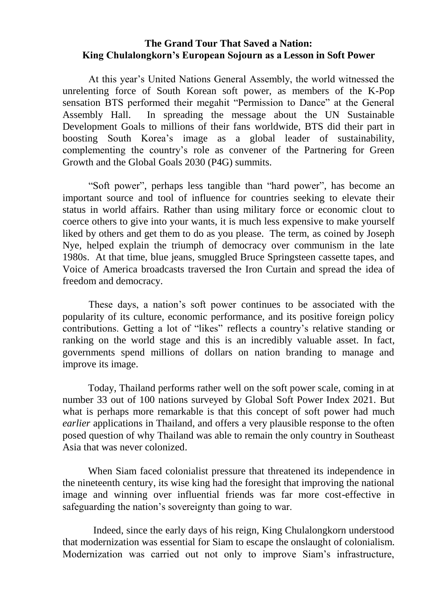## **The Grand Tour That Saved a Nation: King Chulalongkorn's European Sojourn as a Lesson in Soft Power**

At this year's United Nations General Assembly, the world witnessed the unrelenting force of South Korean soft power, as members of the K-Pop sensation BTS performed their megahit "Permission to Dance" at the General Assembly Hall. In spreading the message about the UN Sustainable Development Goals to millions of their fans worldwide, BTS did their part in boosting South Korea's image as a global leader of sustainability, complementing the country's role as convener of the Partnering for Green Growth and the Global Goals 2030 (P4G) summits.

"Soft power", perhaps less tangible than "hard power", has become an important source and tool of influence for countries seeking to elevate their status in world affairs. Rather than using military force or economic clout to coerce others to give into your wants, it is much less expensive to make yourself liked by others and get them to do as you please. The term, as coined by Joseph Nye, helped explain the triumph of democracy over communism in the late 1980s. At that time, blue jeans, smuggled Bruce Springsteen cassette tapes, and Voice of America broadcasts traversed the Iron Curtain and spread the idea of freedom and democracy.

These days, a nation's soft power continues to be associated with the popularity of its culture, economic performance, and its positive foreign policy contributions. Getting a lot of "likes" reflects a country's relative standing or ranking on the world stage and this is an incredibly valuable asset. In fact, governments spend millions of dollars on nation branding to manage and improve its image.

Today, Thailand performs rather well on the soft power scale, coming in at number 33 out of 100 nations surveyed by Global Soft Power Index 2021. But what is perhaps more remarkable is that this concept of soft power had much *earlier* applications in Thailand, and offers a very plausible response to the often posed question of why Thailand was able to remain the only country in Southeast Asia that was never colonized.

When Siam faced colonialist pressure that threatened its independence in the nineteenth century, its wise king had the foresight that improving the national image and winning over influential friends was far more cost-effective in safeguarding the nation's sovereignty than going to war.

Indeed, since the early days of his reign, King Chulalongkorn understood that modernization was essential for Siam to escape the onslaught of colonialism. Modernization was carried out not only to improve Siam's infrastructure,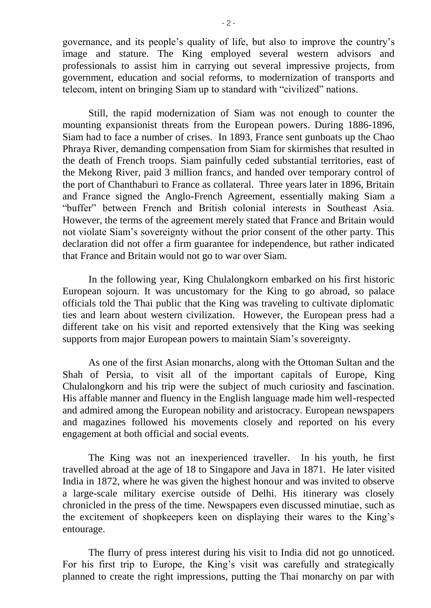governance, and its people's quality of life, but also to improve the country's image and stature. The King employed several western advisors and professionals to assist him in carrying out several impressive projects, from government, education and social reforms, to modernization of transports and telecom, intent on bringing Siam up to standard with "civilized" nations.

Still, the rapid modernization of Siam was not enough to counter the mounting expansionist threats from the European powers. During 1886-1896, Siam had to face a number of crises. In 1893, France sent gunboats up the Chao Phraya River, demanding compensation from Siam for skirmishes that resulted in the death of French troops. Siam painfully ceded substantial territories, east of the Mekong River, paid 3 million francs, and handed over temporary control of the port of Chanthaburi to France as collateral. Three years later in 1896, Britain and France signed the Anglo-French Agreement, essentially making Siam a "buffer" between French and British colonial interests in Southeast Asia. However, the terms of the agreement merely stated that France and Britain would not violate Siam's sovereignty without the prior consent of the other party. This declaration did not offer a firm guarantee for independence, but rather indicated that France and Britain would not go to war over Siam.

In the following year, King Chulalongkorn embarked on his first historic European sojourn. It was uncustomary for the King to go abroad, so palace officials told the Thai public that the King was traveling to cultivate diplomatic ties and learn about western civilization. However, the European press had a different take on his visit and reported extensively that the King was seeking supports from major European powers to maintain Siam's sovereignty.

As one of the first Asian monarchs, along with the Ottoman Sultan and the Shah of Persia, to visit all of the important capitals of Europe, King Chulalongkorn and his trip were the subject of much curiosity and fascination. His affable manner and fluency in the English language made him well-respected and admired among the European nobility and aristocracy. European newspapers and magazines followed his movements closely and reported on his every engagement at both official and social events.

The King was not an inexperienced traveller. In his youth, he first travelled abroad at the age of 18 to Singapore and Java in 1871. He later visited India in 1872, where he was given the highest honour and was invited to observe a large-scale military exercise outside of Delhi. His itinerary was closely chronicled in the press of the time. Newspapers even discussed minutiae, such as the excitement of shopkeepers keen on displaying their wares to the King's entourage.

The flurry of press interest during his visit to India did not go unnoticed. For his first trip to Europe, the King's visit was carefully and strategically planned to create the right impressions, putting the Thai monarchy on par with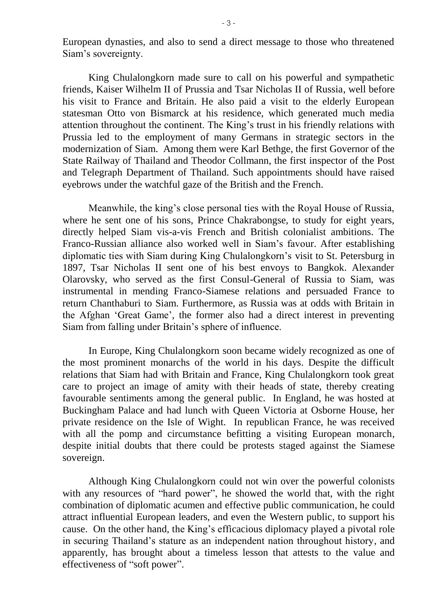European dynasties, and also to send a direct message to those who threatened Siam's sovereignty.

King Chulalongkorn made sure to call on his powerful and sympathetic friends, Kaiser Wilhelm II of Prussia and Tsar Nicholas II of Russia, well before his visit to France and Britain. He also paid a visit to the elderly European statesman Otto von Bismarck at his residence, which generated much media attention throughout the continent. The King's trust in his friendly relations with Prussia led to the employment of many Germans in strategic sectors in the modernization of Siam. Among them were Karl Bethge, the first Governor of the State Railway of Thailand and Theodor Collmann, the first inspector of the Post and Telegraph Department of Thailand. Such appointments should have raised eyebrows under the watchful gaze of the British and the French.

Meanwhile, the king's close personal ties with the Royal House of Russia, where he sent one of his sons, Prince Chakrabongse, to study for eight years, directly helped Siam vis-a-vis French and British colonialist ambitions. The Franco-Russian alliance also worked well in Siam's favour. After establishing diplomatic ties with Siam during King Chulalongkorn's visit to St. Petersburg in 1897, Tsar Nicholas II sent one of his best envoys to Bangkok. Alexander Olarovsky, who served as the first Consul-General of Russia to Siam, was instrumental in mending Franco-Siamese relations and persuaded France to return Chanthaburi to Siam. Furthermore, as Russia was at odds with Britain in the Afghan 'Great Game', the former also had a direct interest in preventing Siam from falling under Britain's sphere of influence.

In Europe, King Chulalongkorn soon became widely recognized as one of the most prominent monarchs of the world in his days. Despite the difficult relations that Siam had with Britain and France, King Chulalongkorn took great care to project an image of amity with their heads of state, thereby creating favourable sentiments among the general public. In England, he was hosted at Buckingham Palace and had lunch with Queen Victoria at Osborne House, her private residence on the Isle of Wight. In republican France, he was received with all the pomp and circumstance befitting a visiting European monarch, despite initial doubts that there could be protests staged against the Siamese sovereign.

Although King Chulalongkorn could not win over the powerful colonists with any resources of "hard power", he showed the world that, with the right combination of diplomatic acumen and effective public communication, he could attract influential European leaders, and even the Western public, to support his cause. On the other hand, the King's efficacious diplomacy played a pivotal role in securing Thailand's stature as an independent nation throughout history, and apparently, has brought about a timeless lesson that attests to the value and effectiveness of "soft power".